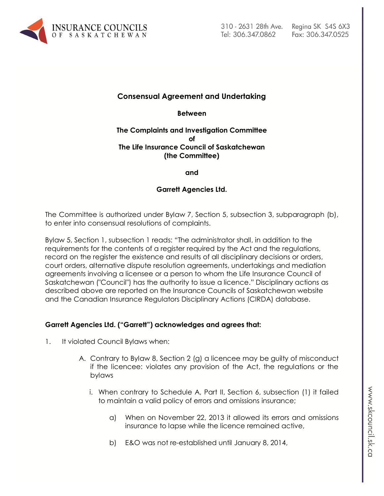

## **Consensual Agreement and Undertaking**

**Between**

#### **The Complaints and Investigation Committee of The Life Insurance Council of Saskatchewan (the Committee)**

**and**

#### **Garrett Agencies Ltd.**

The Committee is authorized under Bylaw 7, Section 5, subsection 3, subparagraph (b), to enter into consensual resolutions of complaints.

Bylaw 5, Section 1, subsection 1 reads: "The administrator shall, in addition to the requirements for the contents of a register required by the Act and the regulations, record on the register the existence and results of all disciplinary decisions or orders, court orders, alternative dispute resolution agreements, undertakings and mediation agreements involving a licensee or a person to whom the Life Insurance Council of Saskatchewan ("Council") has the authority to issue a licence." Disciplinary actions as described above are reported on the Insurance Councils of Saskatchewan website and the Canadian Insurance Regulators Disciplinary Actions (CIRDA) database.

#### **Garrett Agencies Ltd. ("Garrett") acknowledges and agrees that:**

- 1. It violated Council Bylaws when:
	- A. Contrary to Bylaw 8, Section 2 (g) a licencee may be guilty of misconduct if the licencee: violates any provision of the Act, the regulations or the bylaws
		- i. When contrary to Schedule A, Part II, Section 6, subsection (1) it failed to maintain a valid policy of errors and omissions insurance;
			- a) When on November 22, 2013 it allowed its errors and omissions insurance to lapse while the licence remained active,
			- b) E&O was not re-established until January 8, 2014,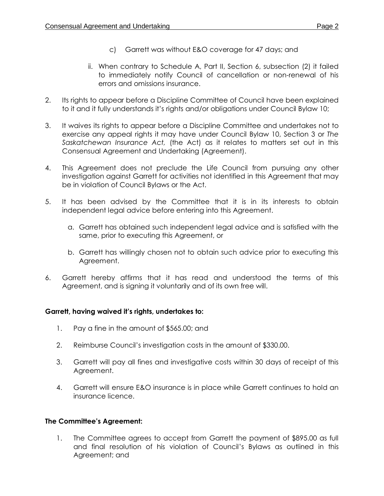- c) Garrett was without E&O coverage for 47 days; and
- ii. When contrary to Schedule A, Part II, Section 6, subsection (2) it failed to immediately notify Council of cancellation or non-renewal of his errors and omissions insurance.
- 2. Its rights to appear before a Discipline Committee of Council have been explained to it and it fully understands it's rights and/or obligations under Council Bylaw 10;
- 3. It waives its rights to appear before a Discipline Committee and undertakes not to exercise any appeal rights it may have under Council Bylaw 10, Section 3 or *The Saskatchewan Insurance Act,* (the Act) as it relates to matters set out in this Consensual Agreement and Undertaking (Agreement).
- 4. This Agreement does not preclude the Life Council from pursuing any other investigation against Garrett for activities not identified in this Agreement that may be in violation of Council Bylaws or the Act.
- 5. It has been advised by the Committee that it is in its interests to obtain independent legal advice before entering into this Agreement.
	- a. Garrett has obtained such independent legal advice and is satisfied with the same, prior to executing this Agreement, or
	- b. Garrett has willingly chosen not to obtain such advice prior to executing this Agreement.
- 6. Garrett hereby affirms that it has read and understood the terms of this Agreement, and is signing it voluntarily and of its own free will.

### **Garrett, having waived it's rights, undertakes to:**

- 1. Pay a fine in the amount of \$565.00; and
- 2. Reimburse Council's investigation costs in the amount of \$330.00.
- 3. Garrett will pay all fines and investigative costs within 30 days of receipt of this Agreement.
- 4. Garrett will ensure E&O insurance is in place while Garrett continues to hold an insurance licence.

# **The Committee's Agreement:**

1. The Committee agrees to accept from Garrett the payment of \$895.00 as full and final resolution of his violation of Council's Bylaws as outlined in this Agreement; and